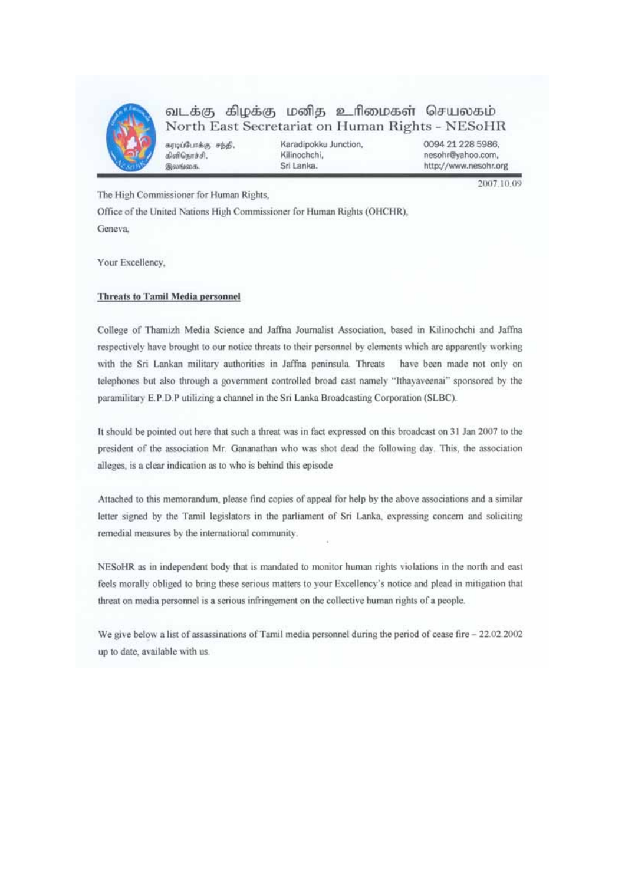

# வடக்கு கிழக்கு மனித உரிமைகள் செயலகம் North East Secretariat on Human Rights - NESoHR

கரடிப்போக்கு சந்தி.

Karadipokku Junction, Kilinochchi, Sri Lanka.

0094 21 228 5986, nesohr@yahoo.com, http://www.nesohr.org

2007.10.09

The High Commissioner for Human Rights,

கினிநொச்சி,

**Bankens** 

Office of the United Nations High Commissioner for Human Rights (OHCHR), Geneva.

Your Excellency,

#### **Threats to Tamil Media personnel**

College of Thamizh Media Science and Jaffna Journalist Association, based in Kilinochchi and Jaffna respectively have brought to our notice threats to their personnel by elements which are apparently working with the Sri Lankan military authorities in Jaffna peninsula. Threats have been made not only on telephones but also through a government controlled broad cast namely "Ithayaveenai" sponsored by the paramilitary E.P.D.P utilizing a channel in the Sri Lanka Broadcasting Corporation (SLBC).

It should be pointed out here that such a threat was in fact expressed on this broadcast on 31 Jan 2007 to the president of the association Mr. Gananathan who was shot dead the following day. This, the association alleges, is a clear indication as to who is behind this episode

Attached to this memorandum, please find copies of appeal for help by the above associations and a similar letter signed by the Tamil legislators in the parliament of Sri Lanka, expressing concern and soliciting remedial measures by the international community.

NESoHR as in independent body that is mandated to monitor human rights violations in the north and east feels morally obliged to bring these serious matters to your Excellency's notice and plead in mitigation that threat on media personnel is a serious infringement on the collective human rights of a people.

We give below a list of assassinations of Tamil media personnel during the period of cease fire  $- 22.02.2002$ up to date, available with us.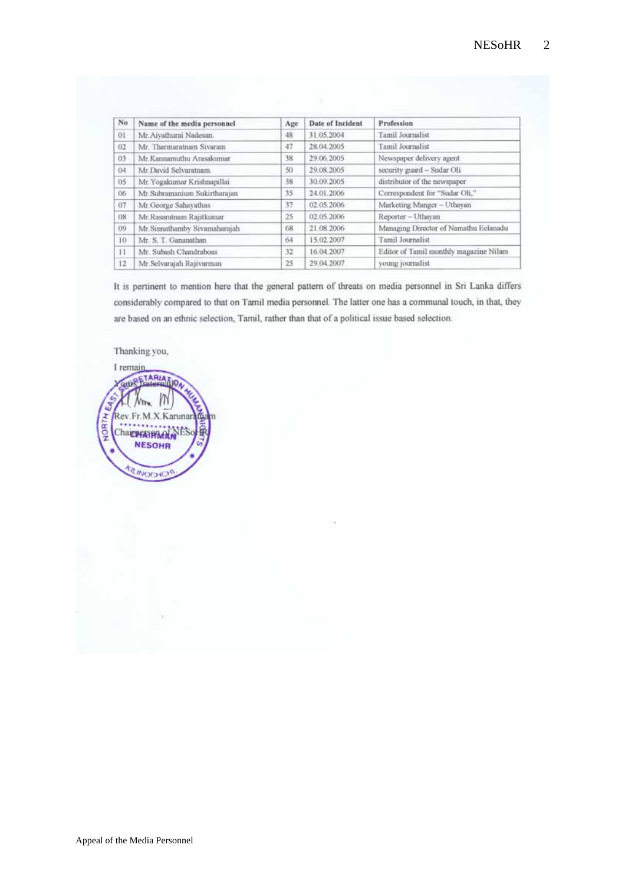| No     | Name of the media personnel   | Age | Date of Incident | Profession                             |
|--------|-------------------------------|-----|------------------|----------------------------------------|
| 01     | Mr. Aiyathurai Nadesan.       | 48  | 31.05.2004       | Tamil Journalist                       |
| 02     | Mr. Tharmaratnam Sivaram      | 47  | 28.04.2005       | Tamil Journalist                       |
| 03     | Mr. Kannamuthu Arasakumar     | 38  | 29.06.2005       | Newspaper delivery agent               |
| 04     | Mr.David Selvaratnam          | 50  | 29.08.2005       | security guard - Sudar Oli             |
| 05     | Mr. Yogakumar Krishnapillai   | 38  | 30.09.2005       | distributor of the newspaper.          |
| $06 -$ | Mr. Subramanium Sukirtharajan | 35  | 24.01.2006       | Correspondent for "Sudar Oli,"         |
| 07     | Mr. George Sahayathas         | 37  | 02:05.2006       | Marketing Manger - Uthayan             |
| 08     | Mr.Rasandnam Rajitkunur       | 25  | 02.05.2006       | Reporter - Uthayan                     |
| 09     | Mr. Sinnathamby Sivamaharajah | 68  | 21.08.2006       | Managing Director of Namathu Eclanadu  |
| 10     | Mr. S. T. Gananathan          | 64  | 15.02.2007       | Tamil Journalist                       |
| 11     | Mr. Subash Chandraboas        | 32  | 16.04.2007       | Editor of Tamil monthly magazine Nilam |
| 12     | Mr. Selvarajah Rajivarman     | 25  | 29.04.2007       | young journalist                       |

It is pertinent to mention here that the general pattern of threats on media personnel in Sri Lanka differs considerably compared to that on Tamil media personnel. The latter one has a communal touch, in that, they are based on an ethnic selection, Tamil, rather than that of a political issue based selection.

Thanking you,

I remain **OID RETARIATIO** 3 NORTH Rev.Fr.M.X.Karunar Chairpeas PAAN ES **NESOHR** *<u><i><u>AR INOCHICAR</u>*</u>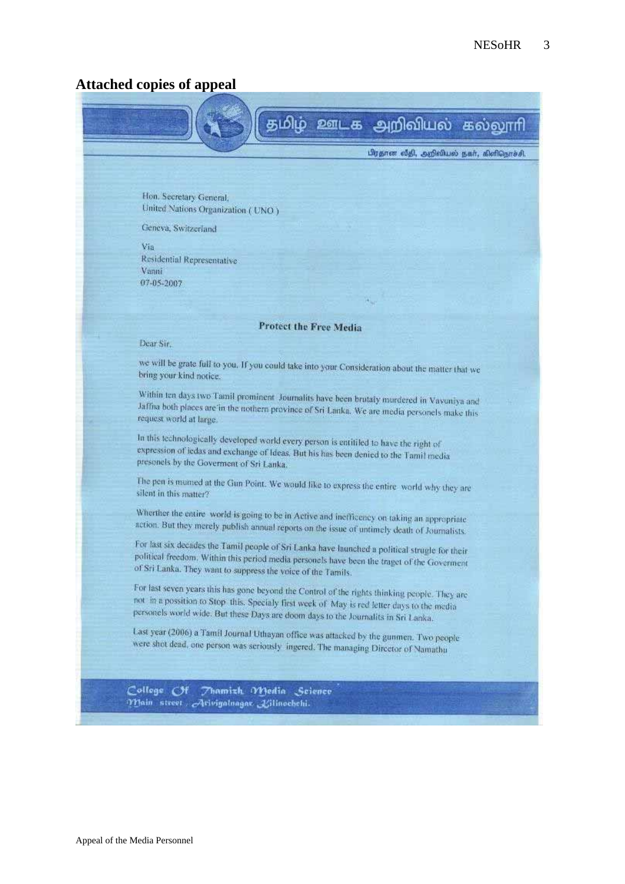## **Attached copies of appeal**

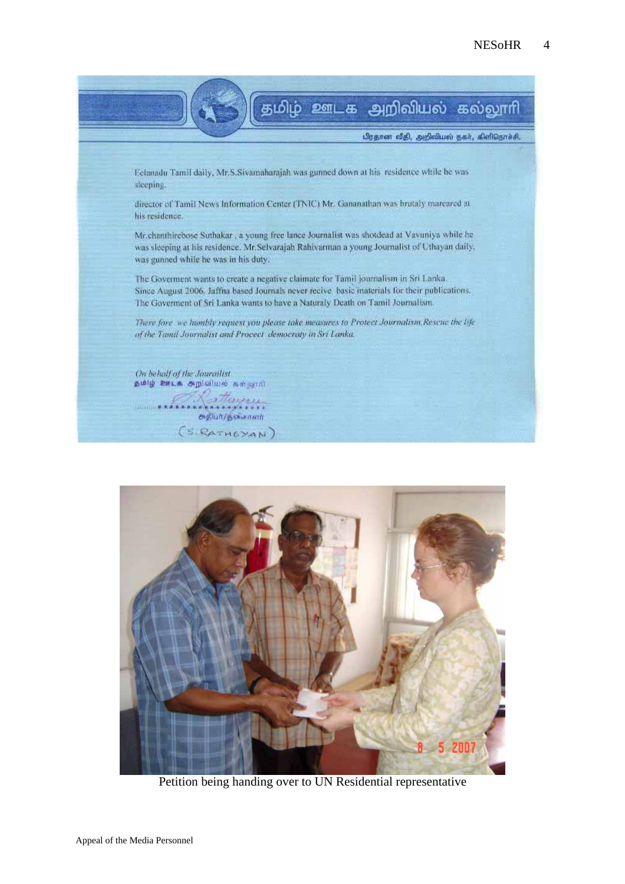



Petition being handing over to UN Residential representative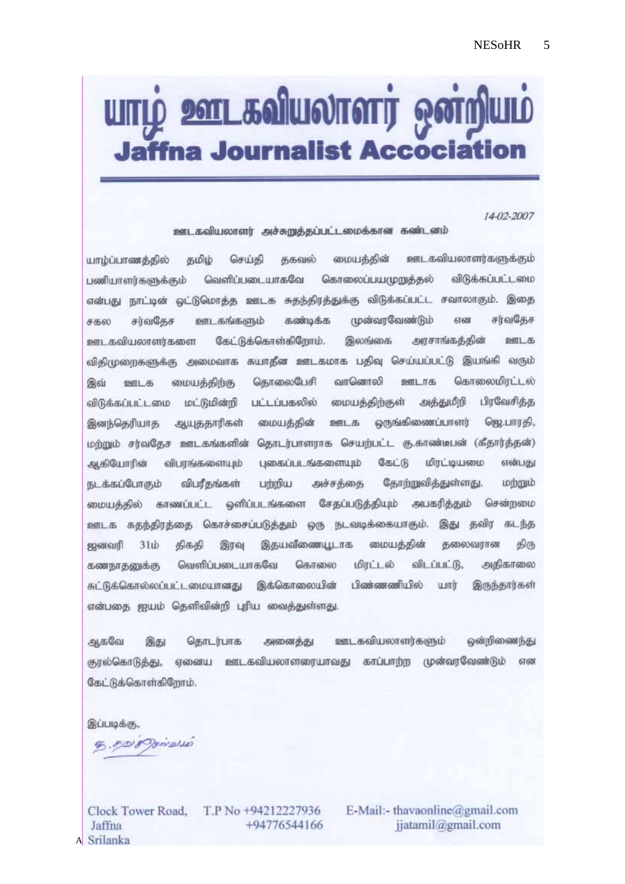# யாழ் ஊடகவியலாளர் ஒன்றியம **Jaffna Journalist Accociation**

#### 14-02-2007

#### ஊடகவியலாளர் அச்சுறுத்தப்பட்டமைக்கான கண்டனம்

ஊடகவியலாளர்களுக்கும் மையத்தின் யாழ்ப்பாணத்தில் கமிம் செய்கி தகவல் வெளிப்படையாகவே கொலைப்பயமுறுத்தல் விடுக்கப்பட்டமை பணியாளர்களுக்கும் என்பது நாட்டின் ஒட்டுமொத்த ஊடக சுதந்திரத்துக்கு விடுக்கப்பட்ட சவாலாகும். இதை சர்வதேச கண்டிக்க முன்வரவேண்டும் 61601 ஊடகங்களும் சகல சர்வதேச அரசாங்கத்தின் இலங்கை கேட்டுக்கொள்கிறோம். **DELL &** ஊடகவியலாளர்களை விதிமுறைகளுக்கு அமைவாக சுயாதீன ஊடகமாக பதிவு செய்யப்பட்டு இயங்கி வரும் மையத்திற்கு தொலைபேசி வானொலி  $BTLT$ கொலைமிரட்டல் இவ் 2回L5 விடுக்கப்பட்டமை மட்டுமின்றி பட்டப்பகலில் மையத்திற்குள் அக்குமீறி பிரவேசிக்க இனந்தெரியாத ஆயுததாரிகள் மையத்தின் ஊடக ரைங்கிணைப்பாளர் ஜெ.பாரகி. மற்றும் சர்வதேச ஊடகங்களின் தொடர்பாளராக செயற்பட்ட கு.காண்டிபன் (கீதார்த்தன்) புகைப்படங்களையும்  $BGL(B)$ மிரட்டியமை ஆகியோரின் விபரங்களையும் என்பது தோற்றுவித்துள்ளது. பர்ரிய அச்சத்தை மற்றும் நடக்கப்போகும் விபரீகங்கள் மையக்கில் காணப்பட்ட ஒளிப்படங்களை சேதப்படுத்தியும் அபகரித்தும் சென்றமை ஊடக சுதந்திரத்தை கொச்சைப்படுத்தும் ஒரு நடவடிக்கையாகும். இது தவிர கடந்த  $31b$ கிககி இதயவீணையுடாக மையத்தின் தலைவரான திரு ஜனவரி இரவு வெளிப்படையாகவே கொலை மிரட்டல் விடப்பட்டு, அதிகாலை கணநாதனுக்கு சுட்டுக்கொல்லப்பட்டமையானது இக்கொலையின் பிண்ணணியில் **Lutti** இருந்தார்கள் என்பதை ஐயம் தெளிவின்றி புரிய வைத்துள்ளது.

ஊடகவியலாளர்களும் கொடர்பாக அனைத்து ணிமிணைந்து ஆகவே கொட குரல்கொடுத்து, ஏனைய ஊடகவியலாளரையாவது காப்பாற்ற முன்வரவேண்டும் 61601 கேட்டுக்கொள்கிறோம்.

இப்படிக்கு.

. தஅதிதல் வி

Clock Tower Road. T.P No +94212227936 **Jaffna** +94776544166 A Srilanka

E-Mail:- thavaonline@gmail.com  $i$ ijatamil@gmail.com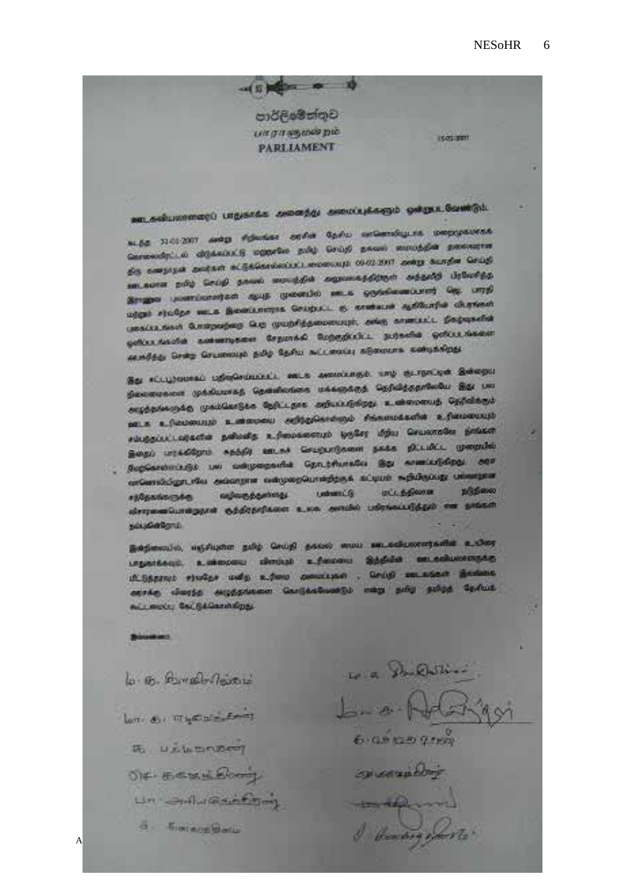1500 TOO

පාර්ලිමේන්තුව un gir se cosa più **PARLIAMENT** 

 $\frac{1}{\sqrt{2}}\left(\frac{1}{\sqrt{2}}\right)^{2}=\frac{1}{\sqrt{2}}\left(\frac{1}{\sqrt{2}}\right)^{2}=\frac{1}{\sqrt{2}}\left(\frac{1}{\sqrt{2}}\right)^{2}=\frac{1}{\sqrt{2}}\left(\frac{1}{\sqrt{2}}\right)^{2}=\frac{1}{\sqrt{2}}\left(\frac{1}{\sqrt{2}}\right)^{2}=\frac{1}{\sqrt{2}}\left(\frac{1}{\sqrt{2}}\right)^{2}=\frac{1}{\sqrt{2}}\left(\frac{1}{\sqrt{2}}\right)^{2}=\frac{1}{\sqrt{2}}\left(\frac{1}{\sqrt{2}}\right$ 

sen mekunnenarù ungusztus zwoonden zwonningkaugub getren Germanyik.

auge 3141207 and p righter exists again collections components Convention appealently competent and the second convention processives din complete and art at Gallersheim's secondary company away auxiliar Graph secure phy trup your woulde ogninations attact discretes. Владен цинатикалијам дрча средной има дружбенискиот Сер студ utgai studge sans Saconisteres Geogram a containt systematic chartered imaica sent Grospeeberg Cup quantitymousuum, oring animizali. Capanelle gettes anche ausweignen Gegenäuf Regentleben gehandes getese auswer comfide Gray Greenweed gold their addenies allowers assumptions

Sa simplement inferiencial, on a avenuació una companya Salagu Samanana peducas Genderiae secondas Gendeaprintu Sa un explosivements memberites split new selectricity a momental superiority set a finominio a monomi celteriordenio desamando a finominist subgalax intention policing a formamental typics their Generation printer Seepli intelliged apply am as Congarigators paths gluidic geographic Suplanderings in adaptation agriphenetic Sq. commissions and வண்ணியிலும், விவ அவ்வைதான் வன்முறையொன்றித்துக் கட்டியும் அறியிருப்பது பண்ணதான் **IDCA SySHOPSHIP** service co. **Understall Capture Asymore** autostationale. sternessimmingen editoriume ana sentia utensualitati es anten **NAVARONO** 

Supermits, esplanter gifty Grand grand were substanted and a charurgentenci, a menomo cientato a fercovo SAG-le em echuaronyto different studys and a form constants. Grip musters Sudan. certing cloughs supplying an Gardenburgh map piles public Safeit sale moder Gal GAGazzh Spaz

 $\mathbf{A}$ 

4 B. Breakfast **Long Australian Beach** the university OF ECKLESTY

Un and complete

8. Fiscandore

race The Outline  $L - 2 - \sqrt{d}$ 

6 as as good

Sa conico

I thundred forts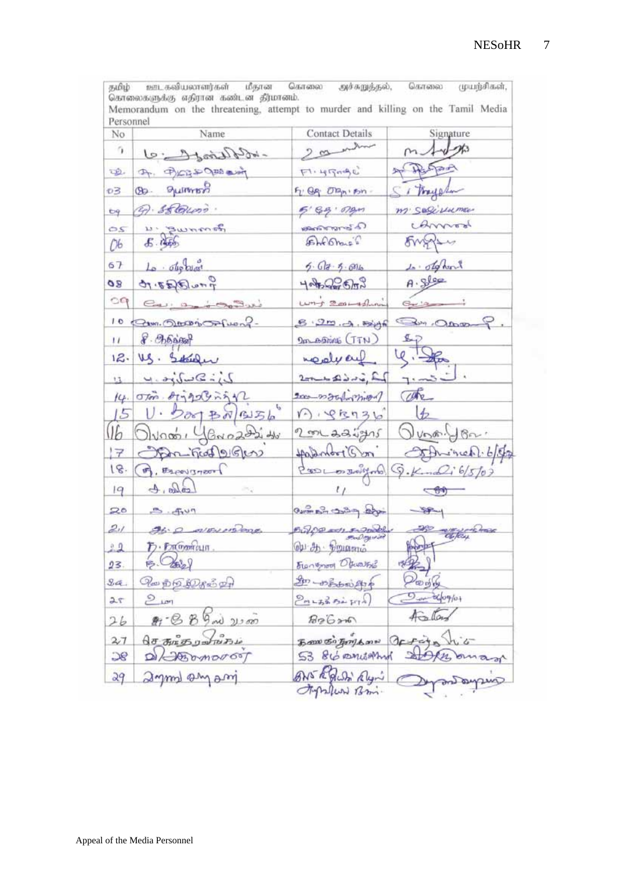|                  | Memorandum on the threatening, attempt to murder and killing on the Tamil Media<br>Personnel |                             |                                   |
|------------------|----------------------------------------------------------------------------------------------|-----------------------------|-----------------------------------|
| No               | Name                                                                                         | <b>Contact Details</b>      | Signature                         |
| o                | - to Chinage 3                                                                               |                             | 263                               |
| $\mathbb{Z}^{n}$ | A. PICEDOMON                                                                                 | F1.45090                    |                                   |
| oЗ               | Pullinon<br>$QQ -$                                                                           | $F_1$ $Qq$ $UR_{n1}$ $pn$ . |                                   |
| 69               | 4. starno.                                                                                   | 5.69.020                    | m. Sale vuma                      |
| $\circ s$        | 11 BWWOOD                                                                                    | <b>CALGARY STORY</b>        | Amos                              |
| 06               | 8.146                                                                                        | BHPBBox P                   | Friggen                           |
| 67               | Le objetive                                                                                  | 5.07.5.016                  | 1. oldhout                        |
| 98               | Pro Baz.10                                                                                   | Holbridge 6/17              | $A.9$ leg                         |
| $\circ$          | Ca com in Control                                                                            | $w + 2m + 4dw$              |                                   |
|                  | 10 Run. Outpis of wong-                                                                      | B, 2m, A, B                 | <b>BUY OBB</b>                    |
| $\mathbf{1}$     | $8 - 9666 - 8$                                                                               | <b>DON-BOOKS (TTN)</b>      | $E_{\rm T}$                       |
| $12 -$           | US. Stringer                                                                                 | needy out                   |                                   |
| 13.              | $L_1 = S - J_2 + L_1 + L_2$                                                                  | $2m + 2 \omega \omega$      |                                   |
|                  | 14. Oton Angolange                                                                           | to discover and such        | $\sqrt{40}$                       |
| 15               | $U \cdot D_{\partial C} \sin \beta \partial \beta$                                           | n. pr736                    | $\frac{1}{2}$                     |
| ÜЬ               | 11000, 480022266                                                                             | 2 on 22 jans                | Jugan<br>$-182$                   |
| 17               | Pra Foot Digion                                                                              | Habmoort Gron               | neA.699                           |
| $18 -$           | 15. ELERVITIERT                                                                              |                             | 200 0 300gmb Q.K. 2:6/5/07        |
| 19               | A, A                                                                                         | $\iota_L$                   |                                   |
| 20               | $B - F - T$                                                                                  | Ourment Cabin Report        |                                   |
| 211              | $\mathcal{A}_b$ $\Omega$ outsides                                                            | לפי הפי היה פקרוים          |                                   |
| 22               | D. Enommain                                                                                  | <b>OU 25 Domanio</b>        | HAF                               |
| 23.              | Void<br>戶                                                                                    | Frantmoor Obwards           |                                   |
| $g_{\alpha}$     | வெற்ற லாஜ் ஜி                                                                                | 200 - DE SOO ADP            | $\mathscr{D}_{\mathcal{D}}$ of by |
| 25               | 2.09                                                                                         | $2n-525$ si $pr(A)$         | $9 - 6609/01$                     |
| 26               | $2.889$ mil 21000                                                                            | B2620                       | Astar                             |
| 27               | At Ang Domini                                                                                | Bomo Bogony Bone Office wir |                                   |
| <b>D</b>         | DIABomoroof                                                                                  | 53 86 eris Mind             | Doppoma                           |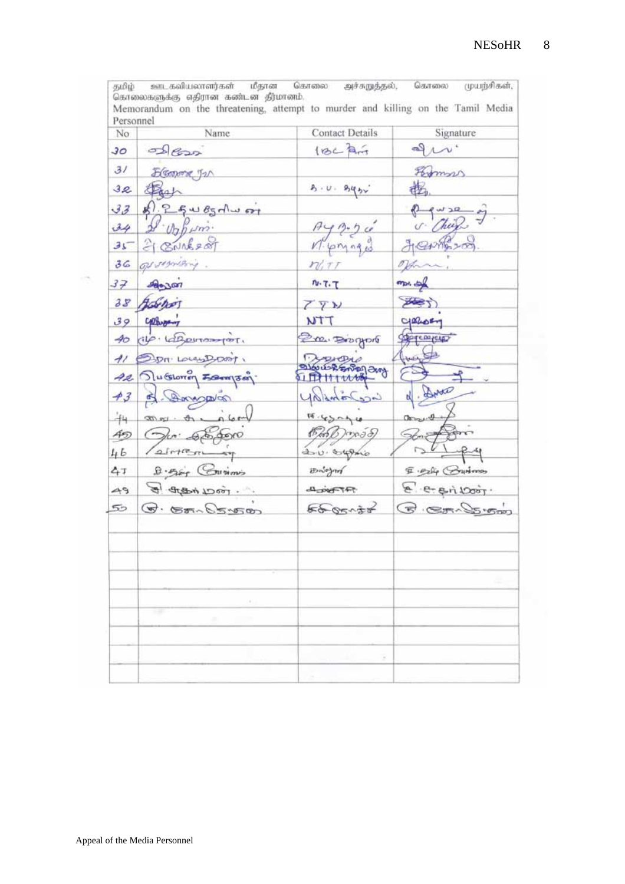| Personnel       | Memorandum on the threatening, attempt to murder and killing on the Tamil Media           |                           |                    |
|-----------------|-------------------------------------------------------------------------------------------|---------------------------|--------------------|
| No              | Name                                                                                      | <b>Contact Details</b>    | Signature          |
| 30 <sub>o</sub> | $\mathcal{P}_{\mathcal{C}}$                                                               | $18c$ are                 | al i               |
| 31              | Elsonora J2A                                                                              |                           | Formars            |
| 32              | than                                                                                      | $B_3 + U = B_4 + V$       |                    |
| 33              | $8.25-83$                                                                                 |                           | $P - q - 2Q$       |
| 34              | I Uppum                                                                                   | $A - 9.50$                | v. Chief           |
| $35^{-}$        | & BNARD                                                                                   | Milphynges                | Jempso             |
| 36              | Of segretary.                                                                             | N/T                       |                    |
| 37              | $-4000$                                                                                   | 7.7.7                     | mas                |
| 38              | Hornor                                                                                    | 77W                       |                    |
| 39              | Collegent                                                                                 | NTT                       | aliser             |
| 40              | de la pontos por                                                                          | Pra Brogon                | pycoopeep          |
| A1              | DDA LOCAL DOOR                                                                            | Sussenson                 | Hally              |
| Az              | Quistorion <del>Lampson</del>                                                             |                           | de Brate           |
| $+3$            | & Barrowa                                                                                 | YAHMAGON                  |                    |
| -44<br>45       | $\sin \theta$ and $\theta$ in the mass of $\theta$<br>Opr 80,000                          | F. 43 chio<br>(Part) m38) | மேவுப<br>$\n  6 7$ |
| 46              | /sincon on                                                                                | 40.849                    |                    |
| 47              | $B - F_1$                                                                                 | มันที่ที่                 | E. Bily Continues  |
| 49              | $\mathcal{F}_{\mathcal{F}}$ at $\mathcal{F}_{\mathcal{F}}$ at $\mathcal{F}_{\mathcal{F}}$ | 777700245                 | $8.8 - 8 - 1000$   |
| 55              | $\mathcal{F}$ . Sm. Ss.50                                                                 | FO ORAZT                  | G Grassm           |
|                 |                                                                                           |                           |                    |
|                 |                                                                                           |                           |                    |
|                 |                                                                                           |                           |                    |
|                 | $\sim$<br>न स                                                                             |                           |                    |
|                 | $\blacksquare$                                                                            |                           |                    |
|                 |                                                                                           |                           |                    |
|                 |                                                                                           | ×                         |                    |
|                 |                                                                                           |                           |                    |

 $\sim$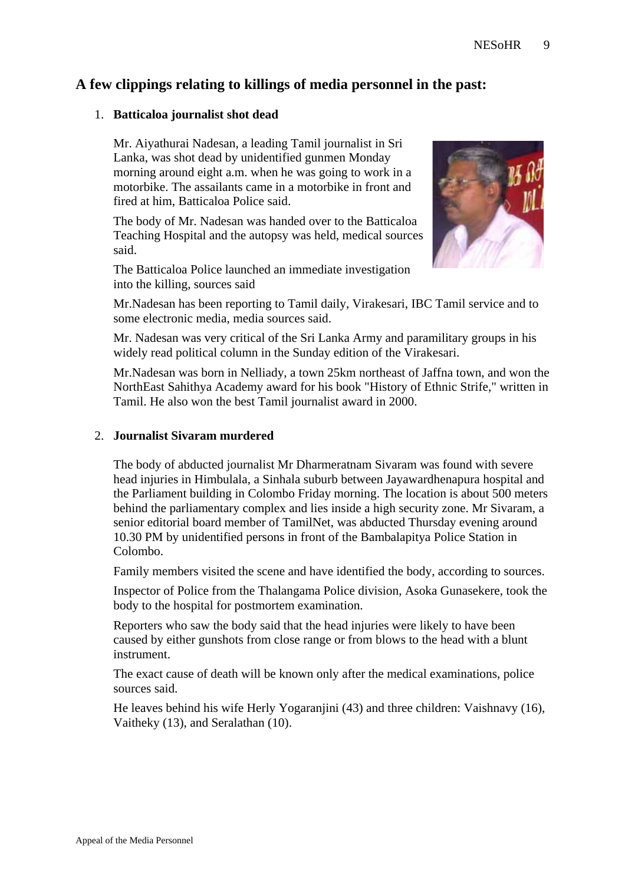# **A few clippings relating to killings of media personnel in the past:**

#### 1. **Batticaloa journalist shot dead**

Mr. Aiyathurai Nadesan, a leading Tamil journalist in Sri Lanka, was shot dead by unidentified gunmen Monday morning around eight a.m. when he was going to work in a motorbike. The assailants came in a motorbike in front and fired at him, Batticaloa Police said.

The body of Mr. Nadesan was handed over to the Batticaloa Teaching Hospital and the autopsy was held, medical sources said.

The Batticaloa Police launched an immediate investigation into the killing, sources said



Mr.Nadesan has been reporting to Tamil daily, Virakesari, IBC Tamil service and to some electronic media, media sources said.

Mr. Nadesan was very critical of the Sri Lanka Army and paramilitary groups in his widely read political column in the Sunday edition of the Virakesari.

Mr.Nadesan was born in Nelliady, a town 25km northeast of Jaffna town, and won the NorthEast Sahithya Academy award for his book "History of Ethnic Strife," written in Tamil. He also won the best Tamil journalist award in 2000.

### 2. **Journalist Sivaram murdered**

The body of abducted journalist Mr Dharmeratnam Sivaram was found with severe head injuries in Himbulala, a Sinhala suburb between Jayawardhenapura hospital and the Parliament building in Colombo Friday morning. The location is about 500 meters behind the parliamentary complex and lies inside a high security zone. Mr Sivaram, a senior editorial board member of TamilNet, was abducted Thursday evening around 10.30 PM by unidentified persons in front of the Bambalapitya Police Station in Colombo.

Family members visited the scene and have identified the body, according to sources.

Inspector of Police from the Thalangama Police division, Asoka Gunasekere, took the body to the hospital for postmortem examination.

Reporters who saw the body said that the head injuries were likely to have been caused by either gunshots from close range or from blows to the head with a blunt instrument.

The exact cause of death will be known only after the medical examinations, police sources said.

He leaves behind his wife Herly Yogaranjini (43) and three children: Vaishnavy (16), Vaitheky (13), and Seralathan (10).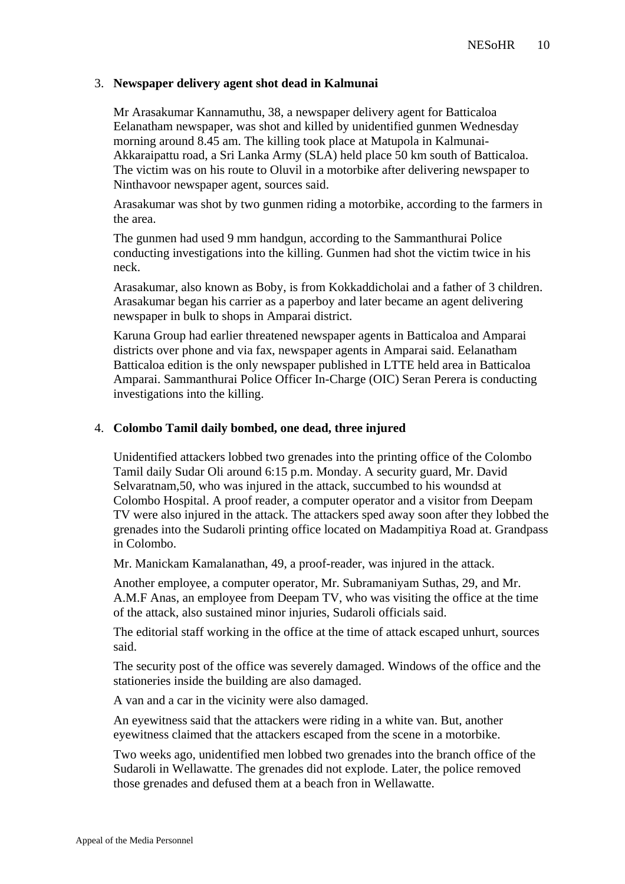#### 3. **Newspaper delivery agent shot dead in Kalmunai**

Mr Arasakumar Kannamuthu, 38, a newspaper delivery agent for Batticaloa Eelanatham newspaper, was shot and killed by unidentified gunmen Wednesday morning around 8.45 am. The killing took place at Matupola in Kalmunai-Akkaraipattu road, a Sri Lanka Army (SLA) held place 50 km south of Batticaloa. The victim was on his route to Oluvil in a motorbike after delivering newspaper to Ninthavoor newspaper agent, sources said.

Arasakumar was shot by two gunmen riding a motorbike, according to the farmers in the area.

The gunmen had used 9 mm handgun, according to the Sammanthurai Police conducting investigations into the killing. Gunmen had shot the victim twice in his neck.

Arasakumar, also known as Boby, is from Kokkaddicholai and a father of 3 children. Arasakumar began his carrier as a paperboy and later became an agent delivering newspaper in bulk to shops in Amparai district.

Karuna Group had earlier threatened newspaper agents in Batticaloa and Amparai districts over phone and via fax, newspaper agents in Amparai said. Eelanatham Batticaloa edition is the only newspaper published in LTTE held area in Batticaloa Amparai. Sammanthurai Police Officer In-Charge (OIC) Seran Perera is conducting investigations into the killing.

### 4. **Colombo Tamil daily bombed, one dead, three injured**

Unidentified attackers lobbed two grenades into the printing office of the Colombo Tamil daily Sudar Oli around 6:15 p.m. Monday. A security guard, Mr. David Selvaratnam,50, who was injured in the attack, succumbed to his woundsd at Colombo Hospital. A proof reader, a computer operator and a visitor from Deepam TV were also injured in the attack. The attackers sped away soon after they lobbed the grenades into the Sudaroli printing office located on Madampitiya Road at. Grandpass in Colombo.

Mr. Manickam Kamalanathan, 49, a proof-reader, was injured in the attack.

Another employee, a computer operator, Mr. Subramaniyam Suthas, 29, and Mr. A.M.F Anas, an employee from Deepam TV, who was visiting the office at the time of the attack, also sustained minor injuries, Sudaroli officials said.

The editorial staff working in the office at the time of attack escaped unhurt, sources said.

The security post of the office was severely damaged. Windows of the office and the stationeries inside the building are also damaged.

A van and a car in the vicinity were also damaged.

An eyewitness said that the attackers were riding in a white van. But, another eyewitness claimed that the attackers escaped from the scene in a motorbike.

Two weeks ago, unidentified men lobbed two grenades into the branch office of the Sudaroli in Wellawatte. The grenades did not explode. Later, the police removed those grenades and defused them at a beach fron in Wellawatte.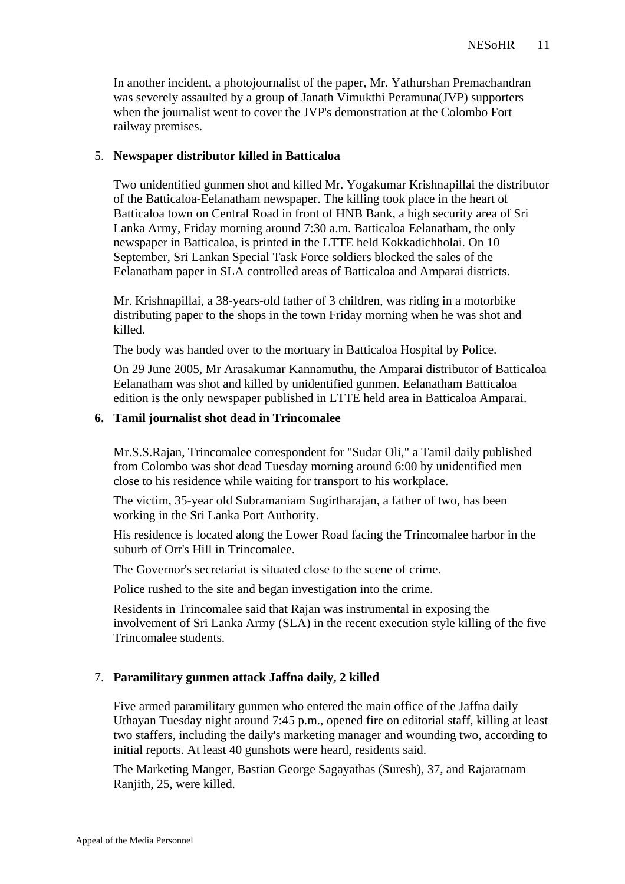In another incident, a photojournalist of the paper, Mr. Yathurshan Premachandran was severely assaulted by a group of Janath Vimukthi Peramuna(JVP) supporters when the journalist went to cover the JVP's demonstration at the Colombo Fort railway premises.

### 5. **Newspaper distributor killed in Batticaloa**

Two unidentified gunmen shot and killed Mr. Yogakumar Krishnapillai the distributor of the Batticaloa-Eelanatham newspaper. The killing took place in the heart of Batticaloa town on Central Road in front of HNB Bank, a high security area of Sri Lanka Army, Friday morning around 7:30 a.m. Batticaloa Eelanatham, the only newspaper in Batticaloa, is printed in the LTTE held Kokkadichholai. On 10 September, Sri Lankan Special Task Force soldiers blocked the sales of the Eelanatham paper in SLA controlled areas of Batticaloa and Amparai districts.

Mr. Krishnapillai, a 38-years-old father of 3 children, was riding in a motorbike distributing paper to the shops in the town Friday morning when he was shot and killed.

The body was handed over to the mortuary in Batticaloa Hospital by Police.

On 29 June 2005, Mr Arasakumar Kannamuthu, the Amparai distributor of Batticaloa Eelanatham was shot and killed by unidentified gunmen. Eelanatham Batticaloa edition is the only newspaper published in LTTE held area in Batticaloa Amparai.

#### **6. Tamil journalist shot dead in Trincomalee**

Mr.S.S.Rajan, Trincomalee correspondent for "Sudar Oli," a Tamil daily published from Colombo was shot dead Tuesday morning around 6:00 by unidentified men close to his residence while waiting for transport to his workplace.

The victim, 35-year old Subramaniam Sugirtharajan, a father of two, has been working in the Sri Lanka Port Authority.

His residence is located along the Lower Road facing the Trincomalee harbor in the suburb of Orr's Hill in Trincomalee.

The Governor's secretariat is situated close to the scene of crime.

Police rushed to the site and began investigation into the crime.

Residents in Trincomalee said that Rajan was instrumental in exposing the involvement of Sri Lanka Army (SLA) in the recent execution style killing of the five Trincomalee students.

# 7. **Paramilitary gunmen attack Jaffna daily, 2 killed**

Five armed paramilitary gunmen who entered the main office of the Jaffna daily Uthayan Tuesday night around 7:45 p.m., opened fire on editorial staff, killing at least two staffers, including the daily's marketing manager and wounding two, according to initial reports. At least 40 gunshots were heard, residents said.

The Marketing Manger, Bastian George Sagayathas (Suresh), 37, and Rajaratnam Ranjith, 25, were killed.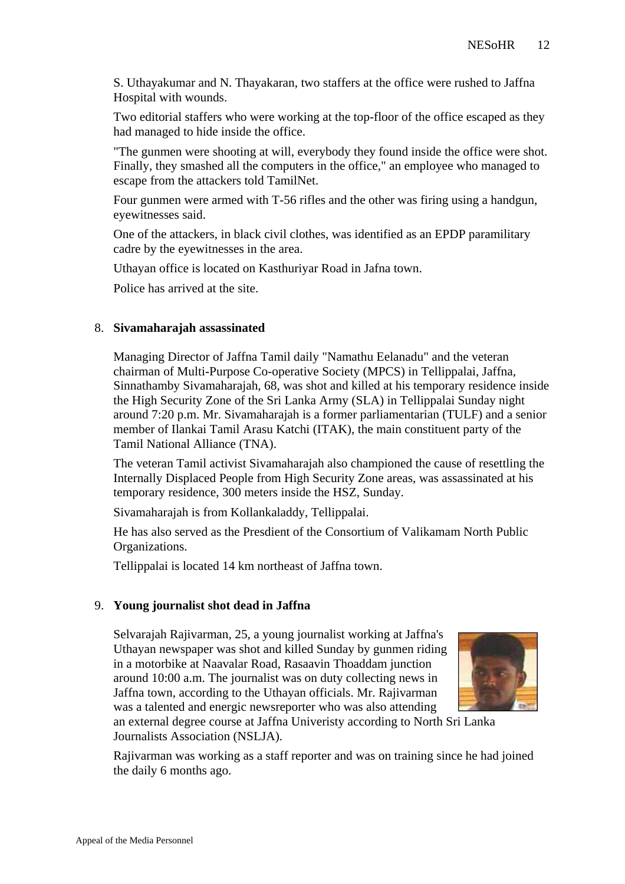S. Uthayakumar and N. Thayakaran, two staffers at the office were rushed to Jaffna Hospital with wounds.

Two editorial staffers who were working at the top-floor of the office escaped as they had managed to hide inside the office.

"The gunmen were shooting at will, everybody they found inside the office were shot. Finally, they smashed all the computers in the office," an employee who managed to escape from the attackers told TamilNet.

Four gunmen were armed with T-56 rifles and the other was firing using a handgun, eyewitnesses said.

One of the attackers, in black civil clothes, was identified as an EPDP paramilitary cadre by the eyewitnesses in the area.

Uthayan office is located on Kasthuriyar Road in Jafna town.

Police has arrived at the site.

#### 8. **Sivamaharajah assassinated**

Managing Director of Jaffna Tamil daily "Namathu Eelanadu" and the veteran chairman of Multi-Purpose Co-operative Society (MPCS) in Tellippalai, Jaffna, Sinnathamby Sivamaharajah, 68, was shot and killed at his temporary residence inside the High Security Zone of the Sri Lanka Army (SLA) in Tellippalai Sunday night around 7:20 p.m. Mr. Sivamaharajah is a former parliamentarian (TULF) and a senior member of Ilankai Tamil Arasu Katchi (ITAK), the main constituent party of the Tamil National Alliance (TNA).

The veteran Tamil activist Sivamaharajah also championed the cause of resettling the Internally Displaced People from High Security Zone areas, was assassinated at his temporary residence, 300 meters inside the HSZ, Sunday.

Sivamaharajah is from Kollankaladdy, Tellippalai.

He has also served as the Presdient of the Consortium of Valikamam North Public Organizations.

Tellippalai is located 14 km northeast of Jaffna town.

#### 9. **Young journalist shot dead in Jaffna**

Selvarajah Rajivarman, 25, a young journalist working at Jaffna's Uthayan newspaper was shot and killed Sunday by gunmen riding in a motorbike at Naavalar Road, Rasaavin Thoaddam junction around 10:00 a.m. The journalist was on duty collecting news in Jaffna town, according to the Uthayan officials. Mr. Rajivarman was a talented and energic newsreporter who was also attending



an external degree course at Jaffna Univeristy according to North Sri Lanka Journalists Association (NSLJA).

Rajivarman was working as a staff reporter and was on training since he had joined the daily 6 months ago.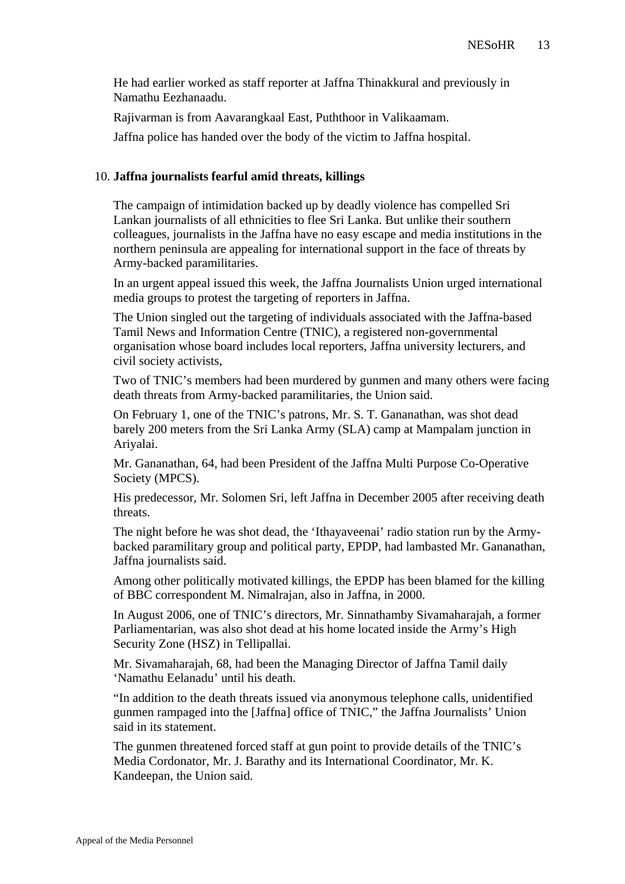He had earlier worked as staff reporter at Jaffna Thinakkural and previously in Namathu Eezhanaadu.

Rajivarman is from Aavarangkaal East, Puththoor in Valikaamam.

Jaffna police has handed over the body of the victim to Jaffna hospital.

#### 10. **Jaffna journalists fearful amid threats, killings**

The campaign of intimidation backed up by deadly violence has compelled Sri Lankan journalists of all ethnicities to flee Sri Lanka. But unlike their southern colleagues, journalists in the Jaffna have no easy escape and media institutions in the northern peninsula are appealing for international support in the face of threats by Army-backed paramilitaries.

In an urgent appeal issued this week, the Jaffna Journalists Union urged international media groups to protest the targeting of reporters in Jaffna.

The Union singled out the targeting of individuals associated with the Jaffna-based Tamil News and Information Centre (TNIC), a registered non-governmental organisation whose board includes local reporters, Jaffna university lecturers, and civil society activists,

Two of TNIC's members had been murdered by gunmen and many others were facing death threats from Army-backed paramilitaries, the Union said.

On February 1, one of the TNIC's patrons, Mr. S. T. Gananathan, was shot dead barely 200 meters from the Sri Lanka Army (SLA) camp at Mampalam junction in Ariyalai.

Mr. Gananathan, 64, had been President of the Jaffna Multi Purpose Co-Operative Society (MPCS).

His predecessor, Mr. Solomen Sri, left Jaffna in December 2005 after receiving death threats.

The night before he was shot dead, the 'Ithayaveenai' radio station run by the Armybacked paramilitary group and political party, EPDP, had lambasted Mr. Gananathan, Jaffna journalists said.

Among other politically motivated killings, the EPDP has been blamed for the killing of BBC correspondent M. Nimalrajan, also in Jaffna, in 2000.

In August 2006, one of TNIC's directors, Mr. Sinnathamby Sivamaharajah, a former Parliamentarian, was also shot dead at his home located inside the Army's High Security Zone (HSZ) in Tellipallai.

Mr. Sivamaharajah, 68, had been the Managing Director of Jaffna Tamil daily 'Namathu Eelanadu' until his death.

"In addition to the death threats issued via anonymous telephone calls, unidentified gunmen rampaged into the [Jaffna] office of TNIC," the Jaffna Journalists' Union said in its statement.

The gunmen threatened forced staff at gun point to provide details of the TNIC's Media Cordonator, Mr. J. Barathy and its International Coordinator, Mr. K. Kandeepan, the Union said.